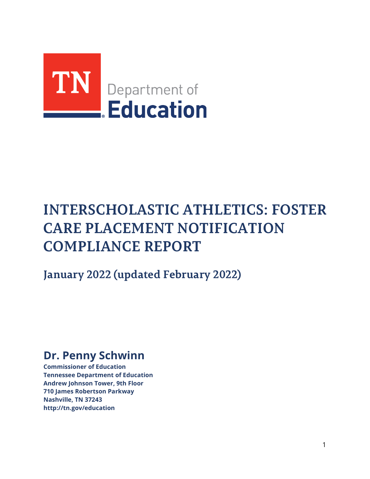

# **INTERSCHOLASTIC ATHLETICS: FOSTER CARE PLACEMENT NOTIFICATION COMPLIANCE REPORT**

**January 2022 (updated February 2022)**

# **Dr. Penny Schwinn**

**Commissioner of Education Tennessee Department of Education Andrew Johnson Tower, 9th Floor 710 James Robertson Parkway Nashville, TN 3724[3](http://tn.gov/education) <http://tn.gov/education>**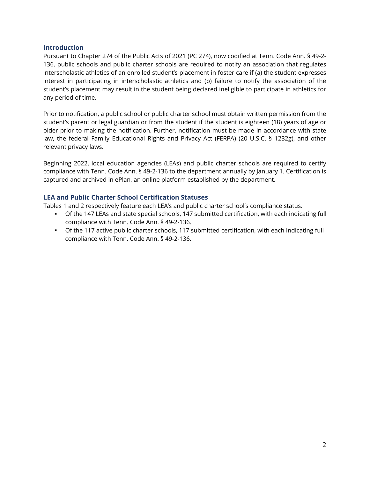#### **Introduction**

Pursuant to Chapter 274 of the Public Acts of 2021 (PC 274), now codified at Tenn. Code Ann. § 49-2- 136, public schools and public charter schools are required to notify an association that regulates interscholastic athletics of an enrolled student's placement in foster care if (a) the student expresses interest in participating in interscholastic athletics and (b) failure to notify the association of the student's placement may result in the student being declared ineligible to participate in athletics for any period of time.

Prior to notification, a public school or public charter school must obtain written permission from the student's parent or legal guardian or from the student if the student is eighteen (18) years of age or older prior to making the notification. Further, notification must be made in accordance with state law, the federal Family Educational Rights and Privacy Act (FERPA) (20 U.S.C. § 1232g), and other relevant privacy laws.

Beginning 2022, local education agencies (LEAs) and public charter schools are required to certify compliance with Tenn. Code Ann. § 49-2-136 to the department annually by January 1. Certification is captured and archived in ePlan, an online platform established by the department.

#### **LEA and Public Charter School Certification Statuses**

Tables 1 and 2 respectively feature each LEA's and public charter school's compliance status.

- Of the 147 LEAs and state special schools, 147 submitted certification, with each indicating full compliance with Tenn. Code Ann. § 49-2-136.
- Of the 117 active public charter schools, 117 submitted certification, with each indicating full compliance with Tenn. Code Ann. § 49-2-136.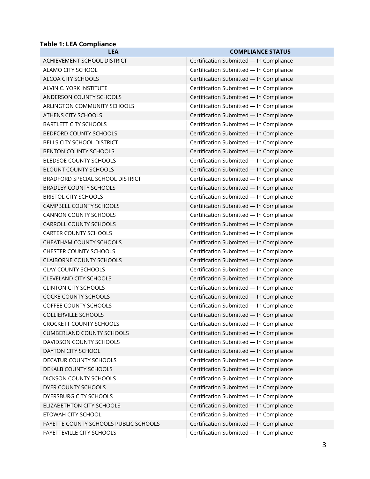### **Table 1: LEA Compliance**

| <b>LEA</b>                            | <b>COMPLIANCE STATUS</b>                |
|---------------------------------------|-----------------------------------------|
| ACHIEVEMENT SCHOOL DISTRICT           | Certification Submitted - In Compliance |
| ALAMO CITY SCHOOL                     | Certification Submitted - In Compliance |
| ALCOA CITY SCHOOLS                    | Certification Submitted - In Compliance |
| ALVIN C. YORK INSTITUTE               | Certification Submitted - In Compliance |
| ANDERSON COUNTY SCHOOLS               | Certification Submitted - In Compliance |
| ARLINGTON COMMUNITY SCHOOLS           | Certification Submitted - In Compliance |
| ATHENS CITY SCHOOLS                   | Certification Submitted - In Compliance |
| <b>BARTLETT CITY SCHOOLS</b>          | Certification Submitted - In Compliance |
| <b>BEDFORD COUNTY SCHOOLS</b>         | Certification Submitted - In Compliance |
| BELLS CITY SCHOOL DISTRICT            | Certification Submitted - In Compliance |
| <b>BENTON COUNTY SCHOOLS</b>          | Certification Submitted - In Compliance |
| <b>BLEDSOE COUNTY SCHOOLS</b>         | Certification Submitted - In Compliance |
| <b>BLOUNT COUNTY SCHOOLS</b>          | Certification Submitted - In Compliance |
| BRADFORD SPECIAL SCHOOL DISTRICT      | Certification Submitted - In Compliance |
| <b>BRADLEY COUNTY SCHOOLS</b>         | Certification Submitted - In Compliance |
| <b>BRISTOL CITY SCHOOLS</b>           | Certification Submitted - In Compliance |
| CAMPBELL COUNTY SCHOOLS               | Certification Submitted - In Compliance |
| CANNON COUNTY SCHOOLS                 | Certification Submitted - In Compliance |
| CARROLL COUNTY SCHOOLS                | Certification Submitted - In Compliance |
| <b>CARTER COUNTY SCHOOLS</b>          | Certification Submitted - In Compliance |
| CHEATHAM COUNTY SCHOOLS               | Certification Submitted - In Compliance |
| <b>CHESTER COUNTY SCHOOLS</b>         | Certification Submitted - In Compliance |
| <b>CLAIBORNE COUNTY SCHOOLS</b>       | Certification Submitted - In Compliance |
| <b>CLAY COUNTY SCHOOLS</b>            | Certification Submitted - In Compliance |
| <b>CLEVELAND CITY SCHOOLS</b>         | Certification Submitted - In Compliance |
| <b>CLINTON CITY SCHOOLS</b>           | Certification Submitted - In Compliance |
| COCKE COUNTY SCHOOLS                  | Certification Submitted - In Compliance |
| <b>COFFEE COUNTY SCHOOLS</b>          | Certification Submitted - In Compliance |
| <b>COLLIERVILLE SCHOOLS</b>           | Certification Submitted - In Compliance |
| <b>CROCKETT COUNTY SCHOOLS</b>        | Certification Submitted - In Compliance |
| <b>CUMBERLAND COUNTY SCHOOLS</b>      | Certification Submitted - In Compliance |
| DAVIDSON COUNTY SCHOOLS               | Certification Submitted - In Compliance |
| DAYTON CITY SCHOOL                    | Certification Submitted - In Compliance |
| DECATUR COUNTY SCHOOLS                | Certification Submitted - In Compliance |
| DEKALB COUNTY SCHOOLS                 | Certification Submitted - In Compliance |
| DICKSON COUNTY SCHOOLS                | Certification Submitted - In Compliance |
| DYER COUNTY SCHOOLS                   | Certification Submitted - In Compliance |
| DYERSBURG CITY SCHOOLS                | Certification Submitted - In Compliance |
| ELIZABETHTON CITY SCHOOLS             | Certification Submitted - In Compliance |
| ETOWAH CITY SCHOOL                    | Certification Submitted - In Compliance |
| FAYETTE COUNTY SCHOOLS PUBLIC SCHOOLS | Certification Submitted - In Compliance |
| FAYETTEVILLE CITY SCHOOLS             | Certification Submitted - In Compliance |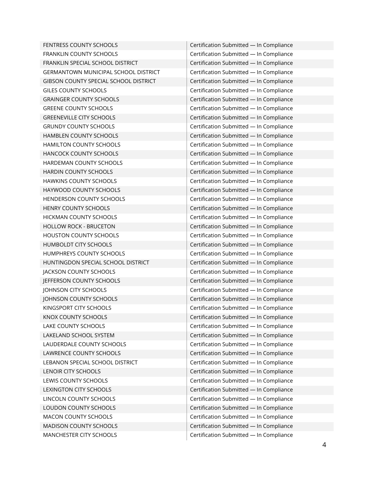| FENTRESS COUNTY SCHOOLS               | Certification Submitted - In Compliance |
|---------------------------------------|-----------------------------------------|
| FRANKLIN COUNTY SCHOOLS               | Certification Submitted - In Compliance |
| FRANKLIN SPECIAL SCHOOL DISTRICT      | Certification Submitted - In Compliance |
| GERMANTOWN MUNICIPAL SCHOOL DISTRICT  | Certification Submitted - In Compliance |
| GIBSON COUNTY SPECIAL SCHOOL DISTRICT | Certification Submitted - In Compliance |
| <b>GILES COUNTY SCHOOLS</b>           | Certification Submitted - In Compliance |
| <b>GRAINGER COUNTY SCHOOLS</b>        | Certification Submitted - In Compliance |
| <b>GREENE COUNTY SCHOOLS</b>          | Certification Submitted - In Compliance |
| <b>GREENEVILLE CITY SCHOOLS</b>       | Certification Submitted - In Compliance |
| <b>GRUNDY COUNTY SCHOOLS</b>          | Certification Submitted - In Compliance |
| HAMBLEN COUNTY SCHOOLS                | Certification Submitted - In Compliance |
| HAMILTON COUNTY SCHOOLS               | Certification Submitted - In Compliance |
| HANCOCK COUNTY SCHOOLS                | Certification Submitted - In Compliance |
| HARDEMAN COUNTY SCHOOLS               | Certification Submitted - In Compliance |
| HARDIN COUNTY SCHOOLS                 | Certification Submitted - In Compliance |
| HAWKINS COUNTY SCHOOLS                | Certification Submitted - In Compliance |
| HAYWOOD COUNTY SCHOOLS                | Certification Submitted - In Compliance |
| HENDERSON COUNTY SCHOOLS              | Certification Submitted - In Compliance |
| HENRY COUNTY SCHOOLS                  | Certification Submitted - In Compliance |
| HICKMAN COUNTY SCHOOLS                | Certification Submitted - In Compliance |
| <b>HOLLOW ROCK - BRUCETON</b>         | Certification Submitted - In Compliance |
| HOUSTON COUNTY SCHOOLS                | Certification Submitted - In Compliance |
| HUMBOLDT CITY SCHOOLS                 | Certification Submitted - In Compliance |
| HUMPHREYS COUNTY SCHOOLS              | Certification Submitted - In Compliance |
| HUNTINGDON SPECIAL SCHOOL DISTRICT    | Certification Submitted - In Compliance |
| JACKSON COUNTY SCHOOLS                | Certification Submitted - In Compliance |
| JEFFERSON COUNTY SCHOOLS              | Certification Submitted - In Compliance |
| JOHNSON CITY SCHOOLS                  | Certification Submitted - In Compliance |
| JOHNSON COUNTY SCHOOLS                | Certification Submitted - In Compliance |
| KINGSPORT CITY SCHOOLS                | Certification Submitted - In Compliance |
| KNOX COUNTY SCHOOLS                   | Certification Submitted - In Compliance |
| LAKE COUNTY SCHOOLS                   | Certification Submitted - In Compliance |
| LAKELAND SCHOOL SYSTEM                | Certification Submitted - In Compliance |
| LAUDERDALE COUNTY SCHOOLS             | Certification Submitted - In Compliance |
| LAWRENCE COUNTY SCHOOLS               | Certification Submitted - In Compliance |
| LEBANON SPECIAL SCHOOL DISTRICT       | Certification Submitted - In Compliance |
| <b>LENOIR CITY SCHOOLS</b>            | Certification Submitted - In Compliance |
| LEWIS COUNTY SCHOOLS                  | Certification Submitted - In Compliance |
| LEXINGTON CITY SCHOOLS                | Certification Submitted - In Compliance |
| LINCOLN COUNTY SCHOOLS                | Certification Submitted - In Compliance |
| LOUDON COUNTY SCHOOLS                 | Certification Submitted - In Compliance |
| MACON COUNTY SCHOOLS                  | Certification Submitted - In Compliance |
| MADISON COUNTY SCHOOLS                | Certification Submitted - In Compliance |
| MANCHESTER CITY SCHOOLS               | Certification Submitted - In Compliance |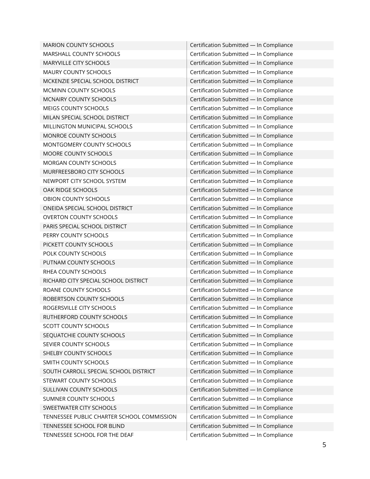| <b>MARION COUNTY SCHOOLS</b>               | Certification Submitted - In Compliance |
|--------------------------------------------|-----------------------------------------|
| MARSHALL COUNTY SCHOOLS                    | Certification Submitted - In Compliance |
| MARYVILLE CITY SCHOOLS                     | Certification Submitted - In Compliance |
| MAURY COUNTY SCHOOLS                       | Certification Submitted - In Compliance |
| MCKENZIE SPECIAL SCHOOL DISTRICT           | Certification Submitted - In Compliance |
| MCMINN COUNTY SCHOOLS                      | Certification Submitted - In Compliance |
| MCNAIRY COUNTY SCHOOLS                     | Certification Submitted - In Compliance |
| MEIGS COUNTY SCHOOLS                       | Certification Submitted - In Compliance |
| MILAN SPECIAL SCHOOL DISTRICT              | Certification Submitted - In Compliance |
| MILLINGTON MUNICIPAL SCHOOLS               | Certification Submitted - In Compliance |
| MONROE COUNTY SCHOOLS                      | Certification Submitted - In Compliance |
| MONTGOMERY COUNTY SCHOOLS                  | Certification Submitted - In Compliance |
| MOORE COUNTY SCHOOLS                       | Certification Submitted - In Compliance |
| MORGAN COUNTY SCHOOLS                      | Certification Submitted - In Compliance |
| MURFREESBORO CITY SCHOOLS                  | Certification Submitted - In Compliance |
| NEWPORT CITY SCHOOL SYSTEM                 | Certification Submitted - In Compliance |
| OAK RIDGE SCHOOLS                          | Certification Submitted - In Compliance |
| OBION COUNTY SCHOOLS                       | Certification Submitted - In Compliance |
| ONEIDA SPECIAL SCHOOL DISTRICT             | Certification Submitted - In Compliance |
| <b>OVERTON COUNTY SCHOOLS</b>              | Certification Submitted - In Compliance |
| PARIS SPECIAL SCHOOL DISTRICT              | Certification Submitted - In Compliance |
| PERRY COUNTY SCHOOLS                       | Certification Submitted - In Compliance |
| PICKETT COUNTY SCHOOLS                     | Certification Submitted - In Compliance |
| POLK COUNTY SCHOOLS                        | Certification Submitted - In Compliance |
| PUTNAM COUNTY SCHOOLS                      | Certification Submitted - In Compliance |
| RHEA COUNTY SCHOOLS                        | Certification Submitted - In Compliance |
| RICHARD CITY SPECIAL SCHOOL DISTRICT       | Certification Submitted - In Compliance |
| ROANE COUNTY SCHOOLS                       | Certification Submitted - In Compliance |
| ROBERTSON COUNTY SCHOOLS                   | Certification Submitted - In Compliance |
| ROGERSVILLE CITY SCHOOLS                   | Certification Submitted - In Compliance |
| RUTHERFORD COUNTY SCHOOLS                  | Certification Submitted - In Compliance |
| SCOTT COUNTY SCHOOLS                       | Certification Submitted - In Compliance |
| SEQUATCHIE COUNTY SCHOOLS                  | Certification Submitted - In Compliance |
| SEVIER COUNTY SCHOOLS                      | Certification Submitted - In Compliance |
| SHELBY COUNTY SCHOOLS                      | Certification Submitted - In Compliance |
| SMITH COUNTY SCHOOLS                       | Certification Submitted - In Compliance |
| SOUTH CARROLL SPECIAL SCHOOL DISTRICT      | Certification Submitted - In Compliance |
| STEWART COUNTY SCHOOLS                     | Certification Submitted - In Compliance |
| SULLIVAN COUNTY SCHOOLS                    | Certification Submitted - In Compliance |
| SUMNER COUNTY SCHOOLS                      | Certification Submitted - In Compliance |
| SWEETWATER CITY SCHOOLS                    | Certification Submitted - In Compliance |
| TENNESSEE PUBLIC CHARTER SCHOOL COMMISSION | Certification Submitted - In Compliance |
| TENNESSEE SCHOOL FOR BLIND                 | Certification Submitted - In Compliance |
| TENNESSEE SCHOOL FOR THE DEAF              | Certification Submitted - In Compliance |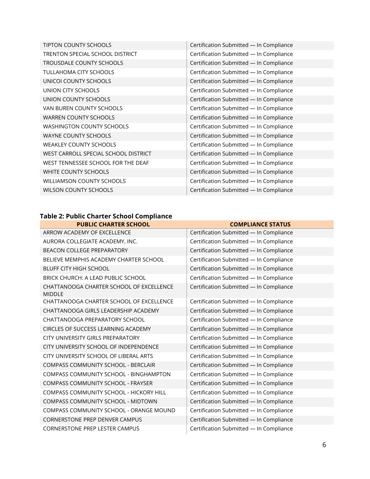| TIPTON COUNTY SCHOOLS                  | Certification Submitted - In Compliance |
|----------------------------------------|-----------------------------------------|
| <b>TRENTON SPECIAL SCHOOL DISTRICT</b> | Certification Submitted - In Compliance |
| TROUSDALE COUNTY SCHOOLS               | Certification Submitted - In Compliance |
| <b>TULLAHOMA CITY SCHOOLS</b>          | Certification Submitted - In Compliance |
| UNICOI COUNTY SCHOOLS                  | Certification Submitted - In Compliance |
| UNION CITY SCHOOLS                     | Certification Submitted - In Compliance |
| UNION COUNTY SCHOOLS                   | Certification Submitted - In Compliance |
| VAN BUREN COUNTY SCHOOLS               | Certification Submitted - In Compliance |
| <b>WARREN COUNTY SCHOOLS</b>           | Certification Submitted - In Compliance |
| <b>WASHINGTON COUNTY SCHOOLS</b>       | Certification Submitted - In Compliance |
| <b>WAYNE COUNTY SCHOOLS</b>            | Certification Submitted - In Compliance |
| <b>WEAKLEY COUNTY SCHOOLS</b>          | Certification Submitted - In Compliance |
| WEST CARROLL SPECIAL SCHOOL DISTRICT   | Certification Submitted - In Compliance |
| WEST TENNESSEE SCHOOL FOR THE DEAF     | Certification Submitted - In Compliance |
| WHITE COUNTY SCHOOLS                   | Certification Submitted - In Compliance |
| <b>WILLIAMSON COUNTY SCHOOLS</b>       | Certification Submitted - In Compliance |
| <b>WILSON COUNTY SCHOOLS</b>           | Certification Submitted - In Compliance |

## **Table 2: Public Charter School Compliance**

| <b>PUBLIC CHARTER SCHOOL</b>                              | <b>COMPLIANCE STATUS</b>                |
|-----------------------------------------------------------|-----------------------------------------|
| ARROW ACADEMY OF EXCELLENCE                               | Certification Submitted - In Compliance |
| AURORA COLLEGIATE ACADEMY, INC.                           | Certification Submitted - In Compliance |
| <b>BEACON COLLEGE PREPARATORY</b>                         | Certification Submitted - In Compliance |
| BELIEVE MEMPHIS ACADEMY CHARTER SCHOOL                    | Certification Submitted - In Compliance |
| <b>BLUFF CITY HIGH SCHOOL</b>                             | Certification Submitted - In Compliance |
| BRICK CHURCH: A LEAD PUBLIC SCHOOL                        | Certification Submitted - In Compliance |
| CHATTANOOGA CHARTER SCHOOL OF EXCELLENCE<br><b>MIDDLE</b> | Certification Submitted - In Compliance |
| CHATTANOOGA CHARTER SCHOOL OF EXCELLENCE                  | Certification Submitted - In Compliance |
| CHATTANOOGA GIRLS LEADERSHIP ACADEMY                      | Certification Submitted - In Compliance |
| CHATTANOOGA PREPARATORY SCHOOL                            | Certification Submitted - In Compliance |
| CIRCLES OF SUCCESS LEARNING ACADEMY                       | Certification Submitted - In Compliance |
| CITY UNIVERSITY GIRLS PREPARATORY                         | Certification Submitted - In Compliance |
| CITY UNIVERSITY SCHOOL OF INDEPENDENCE                    | Certification Submitted - In Compliance |
| CITY UNIVERSITY SCHOOL OF LIBERAL ARTS                    | Certification Submitted - In Compliance |
| COMPASS COMMUNITY SCHOOL - BERCLAIR                       | Certification Submitted - In Compliance |
| COMPASS COMMUNITY SCHOOL - BINGHAMPTON                    | Certification Submitted - In Compliance |
| COMPASS COMMUNITY SCHOOL - FRAYSER                        | Certification Submitted - In Compliance |
| COMPASS COMMUNITY SCHOOL - HICKORY HILL                   | Certification Submitted - In Compliance |
| COMPASS COMMUNITY SCHOOL - MIDTOWN                        | Certification Submitted - In Compliance |
| COMPASS COMMUNITY SCHOOL - ORANGE MOUND                   | Certification Submitted - In Compliance |
| <b>CORNERSTONE PREP DENVER CAMPUS</b>                     | Certification Submitted - In Compliance |
| <b>CORNERSTONE PREP LESTER CAMPUS</b>                     | Certification Submitted - In Compliance |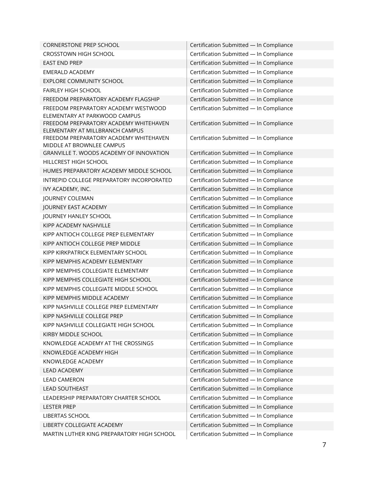| <b>CORNERSTONE PREP SCHOOL</b>                                            | Certification Submitted - In Compliance |
|---------------------------------------------------------------------------|-----------------------------------------|
| <b>CROSSTOWN HIGH SCHOOL</b>                                              | Certification Submitted - In Compliance |
| <b>EAST END PREP</b>                                                      | Certification Submitted - In Compliance |
| <b>EMERALD ACADEMY</b>                                                    | Certification Submitted - In Compliance |
| <b>EXPLORE COMMUNITY SCHOOL</b>                                           | Certification Submitted - In Compliance |
| <b>FAIRLEY HIGH SCHOOL</b>                                                | Certification Submitted - In Compliance |
| FREEDOM PREPARATORY ACADEMY FLAGSHIP                                      | Certification Submitted - In Compliance |
| FREEDOM PREPARATORY ACADEMY WESTWOOD                                      | Certification Submitted - In Compliance |
| ELEMENTARY AT PARKWOOD CAMPUS                                             |                                         |
| FREEDOM PREPARATORY ACADEMY WHITEHAVEN<br>ELEMENTARY AT MILLBRANCH CAMPUS | Certification Submitted - In Compliance |
| FREEDOM PREPARATORY ACADEMY WHITEHAVEN                                    | Certification Submitted - In Compliance |
| MIDDLE AT BROWNLEE CAMPUS                                                 |                                         |
| GRANVILLE T. WOODS ACADEMY OF INNOVATION                                  | Certification Submitted - In Compliance |
| HILLCREST HIGH SCHOOL                                                     | Certification Submitted - In Compliance |
| HUMES PREPARATORY ACADEMY MIDDLE SCHOOL                                   | Certification Submitted - In Compliance |
| INTREPID COLLEGE PREPARATORY INCORPORATED                                 | Certification Submitted - In Compliance |
| IVY ACADEMY, INC.                                                         | Certification Submitted - In Compliance |
| JOURNEY COLEMAN                                                           | Certification Submitted - In Compliance |
| JOURNEY EAST ACADEMY                                                      | Certification Submitted - In Compliance |
| JOURNEY HANLEY SCHOOL                                                     | Certification Submitted - In Compliance |
| KIPP ACADEMY NASHVILLE                                                    | Certification Submitted - In Compliance |
| KIPP ANTIOCH COLLEGE PREP ELEMENTARY                                      | Certification Submitted - In Compliance |
| KIPP ANTIOCH COLLEGE PREP MIDDLE                                          | Certification Submitted - In Compliance |
| KIPP KIRKPATRICK ELEMENTARY SCHOOL                                        | Certification Submitted - In Compliance |
| KIPP MEMPHIS ACADEMY ELEMENTARY                                           | Certification Submitted - In Compliance |
| KIPP MEMPHIS COLLEGIATE ELEMENTARY                                        | Certification Submitted - In Compliance |
| KIPP MEMPHIS COLLEGIATE HIGH SCHOOL                                       | Certification Submitted - In Compliance |
| KIPP MEMPHIS COLLEGIATE MIDDLE SCHOOL                                     | Certification Submitted - In Compliance |
| KIPP MEMPHIS MIDDLE ACADEMY                                               | Certification Submitted - In Compliance |
| KIPP NASHVILLE COLLEGE PREP ELEMENTARY                                    | Certification Submitted - In Compliance |
| KIPP NASHVILLE COLLEGE PREP                                               | Certification Submitted - In Compliance |
| KIPP NASHVILLE COLLEGIATE HIGH SCHOOL                                     | Certification Submitted - In Compliance |
| KIRBY MIDDLE SCHOOL                                                       | Certification Submitted - In Compliance |
| KNOWLEDGE ACADEMY AT THE CROSSINGS                                        | Certification Submitted - In Compliance |
| KNOWLEDGE ACADEMY HIGH                                                    | Certification Submitted - In Compliance |
| KNOWLEDGE ACADEMY                                                         | Certification Submitted - In Compliance |
| <b>LEAD ACADEMY</b>                                                       | Certification Submitted - In Compliance |
| <b>LEAD CAMERON</b>                                                       | Certification Submitted - In Compliance |
| <b>LEAD SOUTHEAST</b>                                                     | Certification Submitted - In Compliance |
| LEADERSHIP PREPARATORY CHARTER SCHOOL                                     | Certification Submitted - In Compliance |
| <b>LESTER PREP</b>                                                        | Certification Submitted - In Compliance |
| LIBERTAS SCHOOL                                                           | Certification Submitted - In Compliance |
| LIBERTY COLLEGIATE ACADEMY                                                | Certification Submitted - In Compliance |
| MARTIN LUTHER KING PREPARATORY HIGH SCHOOL                                | Certification Submitted - In Compliance |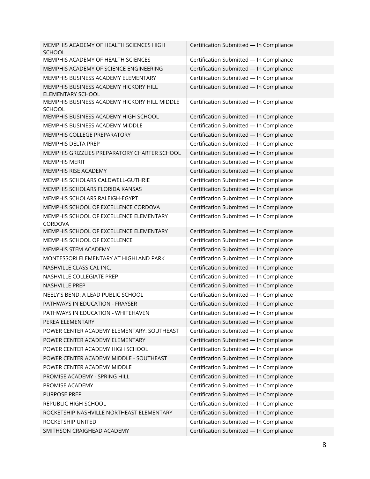| MEMPHIS ACADEMY OF HEALTH SCIENCES HIGH<br><b>SCHOOL</b>      | Certification Submitted - In Compliance |
|---------------------------------------------------------------|-----------------------------------------|
| MEMPHIS ACADEMY OF HEALTH SCIENCES                            | Certification Submitted - In Compliance |
| MEMPHIS ACADEMY OF SCIENCE ENGINEERING                        | Certification Submitted - In Compliance |
| MEMPHIS BUSINESS ACADEMY ELEMENTARY                           | Certification Submitted - In Compliance |
| MEMPHIS BUSINESS ACADEMY HICKORY HILL<br>ELEMENTARY SCHOOL    | Certification Submitted - In Compliance |
| MEMPHIS BUSINESS ACADEMY HICKORY HILL MIDDLE<br><b>SCHOOL</b> | Certification Submitted - In Compliance |
| MEMPHIS BUSINESS ACADEMY HIGH SCHOOL                          | Certification Submitted - In Compliance |
| MEMPHIS BUSINESS ACADEMY MIDDLE                               | Certification Submitted - In Compliance |
| MEMPHIS COLLEGE PREPARATORY                                   | Certification Submitted - In Compliance |
| <b>MEMPHIS DELTA PREP</b>                                     | Certification Submitted - In Compliance |
| MEMPHIS GRIZZLIES PREPARATORY CHARTER SCHOOL                  | Certification Submitted - In Compliance |
| <b>MEMPHIS MERIT</b>                                          | Certification Submitted - In Compliance |
| MEMPHIS RISE ACADEMY                                          | Certification Submitted - In Compliance |
| MEMPHIS SCHOLARS CALDWELL-GUTHRIE                             | Certification Submitted - In Compliance |
| MEMPHIS SCHOLARS FLORIDA KANSAS                               | Certification Submitted - In Compliance |
| MEMPHIS SCHOLARS RALEIGH-EGYPT                                | Certification Submitted - In Compliance |
| MEMPHIS SCHOOL OF EXCELLENCE CORDOVA                          | Certification Submitted - In Compliance |
| MEMPHIS SCHOOL OF EXCELLENCE ELEMENTARY<br>CORDOVA            | Certification Submitted - In Compliance |
| MEMPHIS SCHOOL OF EXCELLENCE ELEMENTARY                       | Certification Submitted - In Compliance |
| MEMPHIS SCHOOL OF EXCELLENCE                                  | Certification Submitted - In Compliance |
| MEMPHIS STEM ACADEMY                                          | Certification Submitted - In Compliance |
| MONTESSORI ELEMENTARY AT HIGHLAND PARK                        | Certification Submitted - In Compliance |
| NASHVILLE CLASSICAL INC.                                      | Certification Submitted - In Compliance |
| NASHVILLE COLLEGIATE PREP                                     | Certification Submitted - In Compliance |
| NASHVILLE PREP                                                | Certification Submitted - In Compliance |
| NEELY'S BEND: A LEAD PUBLIC SCHOOL                            | Certification Submitted - In Compliance |
| PATHWAYS IN EDUCATION - FRAYSER                               | Certification Submitted - In Compliance |
| PATHWAYS IN EDUCATION - WHITEHAVEN                            | Certification Submitted - In Compliance |
| PEREA ELEMENTARY                                              | Certification Submitted - In Compliance |
| POWER CENTER ACADEMY ELEMENTARY: SOUTHEAST                    | Certification Submitted - In Compliance |
| POWER CENTER ACADEMY ELEMENTARY                               | Certification Submitted - In Compliance |
| POWER CENTER ACADEMY HIGH SCHOOL                              | Certification Submitted - In Compliance |
| POWER CENTER ACADEMY MIDDLE - SOUTHEAST                       | Certification Submitted - In Compliance |
| POWER CENTER ACADEMY MIDDLE                                   | Certification Submitted - In Compliance |
| PROMISE ACADEMY - SPRING HILL                                 | Certification Submitted - In Compliance |
| PROMISE ACADEMY                                               | Certification Submitted - In Compliance |
| PURPOSE PREP                                                  | Certification Submitted - In Compliance |
| REPUBLIC HIGH SCHOOL                                          | Certification Submitted - In Compliance |
| ROCKETSHIP NASHVILLE NORTHEAST ELEMENTARY                     | Certification Submitted - In Compliance |
| ROCKETSHIP UNITED                                             | Certification Submitted - In Compliance |
| SMITHSON CRAIGHEAD ACADEMY                                    | Certification Submitted - In Compliance |